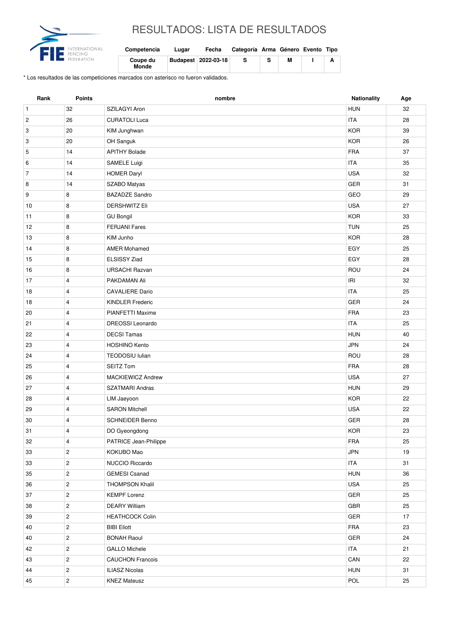

## RESULTADOS: LISTA DE RESULTADOS

| Competencia       | Lugar | Fecha                 | Categoría Arma Género Evento Tipo |   |   |
|-------------------|-------|-----------------------|-----------------------------------|---|---|
| Coupe du<br>Monde |       | Budapest   2022-03-18 | s                                 | М | A |

\* Los resultados de las competiciones marcados con asterisco no fueron validados.

| 32<br><b>HUN</b><br>$\mathbf{1}$<br>SZILAGYI Aron<br>32<br>26<br><b>ITA</b><br>28<br>$\overline{c}$<br><b>CURATOLI Luca</b><br><b>KOR</b><br>39<br>3<br>20<br>KIM Junghwan<br>20<br>OH Sanguk<br><b>KOR</b><br>3<br>26<br><b>FRA</b><br>14<br><b>APITHY Bolade</b><br>37<br>5<br><b>ITA</b><br>14<br>SAMELE Luigi<br>35<br>6<br><b>USA</b><br>$\overline{7}$<br>14<br><b>HOMER Daryl</b><br>32<br><b>GER</b><br>14<br>SZABO Matyas<br>31<br>8<br>GEO<br>8<br>29<br>9<br><b>BAZADZE Sandro</b><br><b>USA</b><br>8<br><b>DERSHWITZ Eli</b><br>27<br>10<br><b>KOR</b><br>8<br><b>GU Bongil</b><br>33<br>11<br><b>TUN</b><br>8<br><b>FERJANI Fares</b><br>25<br>12<br><b>KOR</b><br>13<br>8<br>KIM Junho<br>28<br>EGY<br>8<br><b>AMER Mohamed</b><br>25<br>14<br>8<br><b>ELSISSY Ziad</b><br>EGY<br>15<br>28<br>ROU<br>8<br><b>URSACHI Razvan</b><br>24<br>16<br>IRI<br>17<br>$\overline{4}$<br>32<br>PAKDAMAN Ali<br>$\overline{4}$<br><b>CAVALIERE Dario</b><br><b>ITA</b><br>25<br>18<br>$\overline{4}$<br><b>KINDLER Frederic</b><br><b>GER</b><br>24<br>18<br><b>FRA</b><br>20<br>$\overline{4}$<br><b>PIANFETTI Maxime</b><br>23<br>4<br><b>DREOSSI</b> Leonardo<br><b>ITA</b><br>21<br>25<br><b>DECSI Tamas</b><br>22<br>$\overline{4}$<br><b>HUN</b><br>40<br><b>JPN</b><br>23<br>$\overline{4}$<br><b>HOSHINO Kento</b><br>24<br>ROU<br>28<br>24<br>$\overline{4}$<br><b>TEODOSIU Iulian</b><br><b>FRA</b><br>4<br><b>SEITZ Tom</b><br>28<br>25<br>$\overline{4}$<br><b>MACKIEWICZ Andrew</b><br><b>USA</b><br>26<br>27<br><b>HUN</b><br>27<br><b>SZATMARI Andras</b><br>29<br>4<br><b>KOR</b><br>$\overline{4}$<br>22<br>28<br>LIM Jaeyoon<br><b>USA</b><br>29<br>$\overline{4}$<br><b>SARON Mitchell</b><br>22<br>$\overline{4}$<br><b>GER</b><br>28<br>30<br><b>SCHNEIDER Benno</b><br>KOR<br>31<br>4<br>23<br>DO Gyeongdong<br>4<br>PATRICE Jean-Philippe<br><b>FRA</b><br>25<br>32<br>JPN<br>19<br>33<br>$\overline{2}$<br>KOKUBO Mao<br>$\overline{c}$<br>NUCCIO Riccardo<br>ITA<br>33<br>31<br><b>GEMESI Csanad</b><br>35<br>$\overline{2}$<br><b>HUN</b><br>36<br>USA<br>36<br>$\overline{2}$<br><b>THOMPSON Khalil</b><br>25<br>$\overline{2}$<br><b>KEMPF Lorenz</b><br>GER<br>37<br>25<br>GBR<br>25<br>38<br>$\overline{2}$<br><b>DEARY William</b><br>GER<br>$\overline{2}$<br><b>HEATHCOCK Colin</b><br>17<br>39<br>$\overline{2}$<br><b>BIBI Eliott</b><br>FRA<br>23<br>40<br>GER<br>$\overline{2}$<br><b>BONAH Raoul</b><br>40<br>24 | Rank | <b>Points</b>  | nombre               | Nationality | Age |
|----------------------------------------------------------------------------------------------------------------------------------------------------------------------------------------------------------------------------------------------------------------------------------------------------------------------------------------------------------------------------------------------------------------------------------------------------------------------------------------------------------------------------------------------------------------------------------------------------------------------------------------------------------------------------------------------------------------------------------------------------------------------------------------------------------------------------------------------------------------------------------------------------------------------------------------------------------------------------------------------------------------------------------------------------------------------------------------------------------------------------------------------------------------------------------------------------------------------------------------------------------------------------------------------------------------------------------------------------------------------------------------------------------------------------------------------------------------------------------------------------------------------------------------------------------------------------------------------------------------------------------------------------------------------------------------------------------------------------------------------------------------------------------------------------------------------------------------------------------------------------------------------------------------------------------------------------------------------------------------------------------------------------------------------------------------------------------------------------------------------------------------------------------------------------------------------------------------------------------------------------------------------------------------------------------------------------------------------------------------------------------------------------------------------------------------------------------|------|----------------|----------------------|-------------|-----|
|                                                                                                                                                                                                                                                                                                                                                                                                                                                                                                                                                                                                                                                                                                                                                                                                                                                                                                                                                                                                                                                                                                                                                                                                                                                                                                                                                                                                                                                                                                                                                                                                                                                                                                                                                                                                                                                                                                                                                                                                                                                                                                                                                                                                                                                                                                                                                                                                                                                          |      |                |                      |             |     |
|                                                                                                                                                                                                                                                                                                                                                                                                                                                                                                                                                                                                                                                                                                                                                                                                                                                                                                                                                                                                                                                                                                                                                                                                                                                                                                                                                                                                                                                                                                                                                                                                                                                                                                                                                                                                                                                                                                                                                                                                                                                                                                                                                                                                                                                                                                                                                                                                                                                          |      |                |                      |             |     |
|                                                                                                                                                                                                                                                                                                                                                                                                                                                                                                                                                                                                                                                                                                                                                                                                                                                                                                                                                                                                                                                                                                                                                                                                                                                                                                                                                                                                                                                                                                                                                                                                                                                                                                                                                                                                                                                                                                                                                                                                                                                                                                                                                                                                                                                                                                                                                                                                                                                          |      |                |                      |             |     |
|                                                                                                                                                                                                                                                                                                                                                                                                                                                                                                                                                                                                                                                                                                                                                                                                                                                                                                                                                                                                                                                                                                                                                                                                                                                                                                                                                                                                                                                                                                                                                                                                                                                                                                                                                                                                                                                                                                                                                                                                                                                                                                                                                                                                                                                                                                                                                                                                                                                          |      |                |                      |             |     |
|                                                                                                                                                                                                                                                                                                                                                                                                                                                                                                                                                                                                                                                                                                                                                                                                                                                                                                                                                                                                                                                                                                                                                                                                                                                                                                                                                                                                                                                                                                                                                                                                                                                                                                                                                                                                                                                                                                                                                                                                                                                                                                                                                                                                                                                                                                                                                                                                                                                          |      |                |                      |             |     |
|                                                                                                                                                                                                                                                                                                                                                                                                                                                                                                                                                                                                                                                                                                                                                                                                                                                                                                                                                                                                                                                                                                                                                                                                                                                                                                                                                                                                                                                                                                                                                                                                                                                                                                                                                                                                                                                                                                                                                                                                                                                                                                                                                                                                                                                                                                                                                                                                                                                          |      |                |                      |             |     |
|                                                                                                                                                                                                                                                                                                                                                                                                                                                                                                                                                                                                                                                                                                                                                                                                                                                                                                                                                                                                                                                                                                                                                                                                                                                                                                                                                                                                                                                                                                                                                                                                                                                                                                                                                                                                                                                                                                                                                                                                                                                                                                                                                                                                                                                                                                                                                                                                                                                          |      |                |                      |             |     |
|                                                                                                                                                                                                                                                                                                                                                                                                                                                                                                                                                                                                                                                                                                                                                                                                                                                                                                                                                                                                                                                                                                                                                                                                                                                                                                                                                                                                                                                                                                                                                                                                                                                                                                                                                                                                                                                                                                                                                                                                                                                                                                                                                                                                                                                                                                                                                                                                                                                          |      |                |                      |             |     |
|                                                                                                                                                                                                                                                                                                                                                                                                                                                                                                                                                                                                                                                                                                                                                                                                                                                                                                                                                                                                                                                                                                                                                                                                                                                                                                                                                                                                                                                                                                                                                                                                                                                                                                                                                                                                                                                                                                                                                                                                                                                                                                                                                                                                                                                                                                                                                                                                                                                          |      |                |                      |             |     |
|                                                                                                                                                                                                                                                                                                                                                                                                                                                                                                                                                                                                                                                                                                                                                                                                                                                                                                                                                                                                                                                                                                                                                                                                                                                                                                                                                                                                                                                                                                                                                                                                                                                                                                                                                                                                                                                                                                                                                                                                                                                                                                                                                                                                                                                                                                                                                                                                                                                          |      |                |                      |             |     |
|                                                                                                                                                                                                                                                                                                                                                                                                                                                                                                                                                                                                                                                                                                                                                                                                                                                                                                                                                                                                                                                                                                                                                                                                                                                                                                                                                                                                                                                                                                                                                                                                                                                                                                                                                                                                                                                                                                                                                                                                                                                                                                                                                                                                                                                                                                                                                                                                                                                          |      |                |                      |             |     |
|                                                                                                                                                                                                                                                                                                                                                                                                                                                                                                                                                                                                                                                                                                                                                                                                                                                                                                                                                                                                                                                                                                                                                                                                                                                                                                                                                                                                                                                                                                                                                                                                                                                                                                                                                                                                                                                                                                                                                                                                                                                                                                                                                                                                                                                                                                                                                                                                                                                          |      |                |                      |             |     |
|                                                                                                                                                                                                                                                                                                                                                                                                                                                                                                                                                                                                                                                                                                                                                                                                                                                                                                                                                                                                                                                                                                                                                                                                                                                                                                                                                                                                                                                                                                                                                                                                                                                                                                                                                                                                                                                                                                                                                                                                                                                                                                                                                                                                                                                                                                                                                                                                                                                          |      |                |                      |             |     |
|                                                                                                                                                                                                                                                                                                                                                                                                                                                                                                                                                                                                                                                                                                                                                                                                                                                                                                                                                                                                                                                                                                                                                                                                                                                                                                                                                                                                                                                                                                                                                                                                                                                                                                                                                                                                                                                                                                                                                                                                                                                                                                                                                                                                                                                                                                                                                                                                                                                          |      |                |                      |             |     |
|                                                                                                                                                                                                                                                                                                                                                                                                                                                                                                                                                                                                                                                                                                                                                                                                                                                                                                                                                                                                                                                                                                                                                                                                                                                                                                                                                                                                                                                                                                                                                                                                                                                                                                                                                                                                                                                                                                                                                                                                                                                                                                                                                                                                                                                                                                                                                                                                                                                          |      |                |                      |             |     |
|                                                                                                                                                                                                                                                                                                                                                                                                                                                                                                                                                                                                                                                                                                                                                                                                                                                                                                                                                                                                                                                                                                                                                                                                                                                                                                                                                                                                                                                                                                                                                                                                                                                                                                                                                                                                                                                                                                                                                                                                                                                                                                                                                                                                                                                                                                                                                                                                                                                          |      |                |                      |             |     |
|                                                                                                                                                                                                                                                                                                                                                                                                                                                                                                                                                                                                                                                                                                                                                                                                                                                                                                                                                                                                                                                                                                                                                                                                                                                                                                                                                                                                                                                                                                                                                                                                                                                                                                                                                                                                                                                                                                                                                                                                                                                                                                                                                                                                                                                                                                                                                                                                                                                          |      |                |                      |             |     |
|                                                                                                                                                                                                                                                                                                                                                                                                                                                                                                                                                                                                                                                                                                                                                                                                                                                                                                                                                                                                                                                                                                                                                                                                                                                                                                                                                                                                                                                                                                                                                                                                                                                                                                                                                                                                                                                                                                                                                                                                                                                                                                                                                                                                                                                                                                                                                                                                                                                          |      |                |                      |             |     |
|                                                                                                                                                                                                                                                                                                                                                                                                                                                                                                                                                                                                                                                                                                                                                                                                                                                                                                                                                                                                                                                                                                                                                                                                                                                                                                                                                                                                                                                                                                                                                                                                                                                                                                                                                                                                                                                                                                                                                                                                                                                                                                                                                                                                                                                                                                                                                                                                                                                          |      |                |                      |             |     |
|                                                                                                                                                                                                                                                                                                                                                                                                                                                                                                                                                                                                                                                                                                                                                                                                                                                                                                                                                                                                                                                                                                                                                                                                                                                                                                                                                                                                                                                                                                                                                                                                                                                                                                                                                                                                                                                                                                                                                                                                                                                                                                                                                                                                                                                                                                                                                                                                                                                          |      |                |                      |             |     |
|                                                                                                                                                                                                                                                                                                                                                                                                                                                                                                                                                                                                                                                                                                                                                                                                                                                                                                                                                                                                                                                                                                                                                                                                                                                                                                                                                                                                                                                                                                                                                                                                                                                                                                                                                                                                                                                                                                                                                                                                                                                                                                                                                                                                                                                                                                                                                                                                                                                          |      |                |                      |             |     |
|                                                                                                                                                                                                                                                                                                                                                                                                                                                                                                                                                                                                                                                                                                                                                                                                                                                                                                                                                                                                                                                                                                                                                                                                                                                                                                                                                                                                                                                                                                                                                                                                                                                                                                                                                                                                                                                                                                                                                                                                                                                                                                                                                                                                                                                                                                                                                                                                                                                          |      |                |                      |             |     |
|                                                                                                                                                                                                                                                                                                                                                                                                                                                                                                                                                                                                                                                                                                                                                                                                                                                                                                                                                                                                                                                                                                                                                                                                                                                                                                                                                                                                                                                                                                                                                                                                                                                                                                                                                                                                                                                                                                                                                                                                                                                                                                                                                                                                                                                                                                                                                                                                                                                          |      |                |                      |             |     |
|                                                                                                                                                                                                                                                                                                                                                                                                                                                                                                                                                                                                                                                                                                                                                                                                                                                                                                                                                                                                                                                                                                                                                                                                                                                                                                                                                                                                                                                                                                                                                                                                                                                                                                                                                                                                                                                                                                                                                                                                                                                                                                                                                                                                                                                                                                                                                                                                                                                          |      |                |                      |             |     |
|                                                                                                                                                                                                                                                                                                                                                                                                                                                                                                                                                                                                                                                                                                                                                                                                                                                                                                                                                                                                                                                                                                                                                                                                                                                                                                                                                                                                                                                                                                                                                                                                                                                                                                                                                                                                                                                                                                                                                                                                                                                                                                                                                                                                                                                                                                                                                                                                                                                          |      |                |                      |             |     |
|                                                                                                                                                                                                                                                                                                                                                                                                                                                                                                                                                                                                                                                                                                                                                                                                                                                                                                                                                                                                                                                                                                                                                                                                                                                                                                                                                                                                                                                                                                                                                                                                                                                                                                                                                                                                                                                                                                                                                                                                                                                                                                                                                                                                                                                                                                                                                                                                                                                          |      |                |                      |             |     |
|                                                                                                                                                                                                                                                                                                                                                                                                                                                                                                                                                                                                                                                                                                                                                                                                                                                                                                                                                                                                                                                                                                                                                                                                                                                                                                                                                                                                                                                                                                                                                                                                                                                                                                                                                                                                                                                                                                                                                                                                                                                                                                                                                                                                                                                                                                                                                                                                                                                          |      |                |                      |             |     |
|                                                                                                                                                                                                                                                                                                                                                                                                                                                                                                                                                                                                                                                                                                                                                                                                                                                                                                                                                                                                                                                                                                                                                                                                                                                                                                                                                                                                                                                                                                                                                                                                                                                                                                                                                                                                                                                                                                                                                                                                                                                                                                                                                                                                                                                                                                                                                                                                                                                          |      |                |                      |             |     |
|                                                                                                                                                                                                                                                                                                                                                                                                                                                                                                                                                                                                                                                                                                                                                                                                                                                                                                                                                                                                                                                                                                                                                                                                                                                                                                                                                                                                                                                                                                                                                                                                                                                                                                                                                                                                                                                                                                                                                                                                                                                                                                                                                                                                                                                                                                                                                                                                                                                          |      |                |                      |             |     |
|                                                                                                                                                                                                                                                                                                                                                                                                                                                                                                                                                                                                                                                                                                                                                                                                                                                                                                                                                                                                                                                                                                                                                                                                                                                                                                                                                                                                                                                                                                                                                                                                                                                                                                                                                                                                                                                                                                                                                                                                                                                                                                                                                                                                                                                                                                                                                                                                                                                          |      |                |                      |             |     |
|                                                                                                                                                                                                                                                                                                                                                                                                                                                                                                                                                                                                                                                                                                                                                                                                                                                                                                                                                                                                                                                                                                                                                                                                                                                                                                                                                                                                                                                                                                                                                                                                                                                                                                                                                                                                                                                                                                                                                                                                                                                                                                                                                                                                                                                                                                                                                                                                                                                          |      |                |                      |             |     |
|                                                                                                                                                                                                                                                                                                                                                                                                                                                                                                                                                                                                                                                                                                                                                                                                                                                                                                                                                                                                                                                                                                                                                                                                                                                                                                                                                                                                                                                                                                                                                                                                                                                                                                                                                                                                                                                                                                                                                                                                                                                                                                                                                                                                                                                                                                                                                                                                                                                          |      |                |                      |             |     |
|                                                                                                                                                                                                                                                                                                                                                                                                                                                                                                                                                                                                                                                                                                                                                                                                                                                                                                                                                                                                                                                                                                                                                                                                                                                                                                                                                                                                                                                                                                                                                                                                                                                                                                                                                                                                                                                                                                                                                                                                                                                                                                                                                                                                                                                                                                                                                                                                                                                          |      |                |                      |             |     |
|                                                                                                                                                                                                                                                                                                                                                                                                                                                                                                                                                                                                                                                                                                                                                                                                                                                                                                                                                                                                                                                                                                                                                                                                                                                                                                                                                                                                                                                                                                                                                                                                                                                                                                                                                                                                                                                                                                                                                                                                                                                                                                                                                                                                                                                                                                                                                                                                                                                          |      |                |                      |             |     |
|                                                                                                                                                                                                                                                                                                                                                                                                                                                                                                                                                                                                                                                                                                                                                                                                                                                                                                                                                                                                                                                                                                                                                                                                                                                                                                                                                                                                                                                                                                                                                                                                                                                                                                                                                                                                                                                                                                                                                                                                                                                                                                                                                                                                                                                                                                                                                                                                                                                          |      |                |                      |             |     |
|                                                                                                                                                                                                                                                                                                                                                                                                                                                                                                                                                                                                                                                                                                                                                                                                                                                                                                                                                                                                                                                                                                                                                                                                                                                                                                                                                                                                                                                                                                                                                                                                                                                                                                                                                                                                                                                                                                                                                                                                                                                                                                                                                                                                                                                                                                                                                                                                                                                          |      |                |                      |             |     |
|                                                                                                                                                                                                                                                                                                                                                                                                                                                                                                                                                                                                                                                                                                                                                                                                                                                                                                                                                                                                                                                                                                                                                                                                                                                                                                                                                                                                                                                                                                                                                                                                                                                                                                                                                                                                                                                                                                                                                                                                                                                                                                                                                                                                                                                                                                                                                                                                                                                          |      |                |                      |             |     |
|                                                                                                                                                                                                                                                                                                                                                                                                                                                                                                                                                                                                                                                                                                                                                                                                                                                                                                                                                                                                                                                                                                                                                                                                                                                                                                                                                                                                                                                                                                                                                                                                                                                                                                                                                                                                                                                                                                                                                                                                                                                                                                                                                                                                                                                                                                                                                                                                                                                          |      |                |                      |             |     |
|                                                                                                                                                                                                                                                                                                                                                                                                                                                                                                                                                                                                                                                                                                                                                                                                                                                                                                                                                                                                                                                                                                                                                                                                                                                                                                                                                                                                                                                                                                                                                                                                                                                                                                                                                                                                                                                                                                                                                                                                                                                                                                                                                                                                                                                                                                                                                                                                                                                          |      |                |                      |             |     |
|                                                                                                                                                                                                                                                                                                                                                                                                                                                                                                                                                                                                                                                                                                                                                                                                                                                                                                                                                                                                                                                                                                                                                                                                                                                                                                                                                                                                                                                                                                                                                                                                                                                                                                                                                                                                                                                                                                                                                                                                                                                                                                                                                                                                                                                                                                                                                                                                                                                          |      |                |                      |             |     |
|                                                                                                                                                                                                                                                                                                                                                                                                                                                                                                                                                                                                                                                                                                                                                                                                                                                                                                                                                                                                                                                                                                                                                                                                                                                                                                                                                                                                                                                                                                                                                                                                                                                                                                                                                                                                                                                                                                                                                                                                                                                                                                                                                                                                                                                                                                                                                                                                                                                          |      |                |                      |             |     |
|                                                                                                                                                                                                                                                                                                                                                                                                                                                                                                                                                                                                                                                                                                                                                                                                                                                                                                                                                                                                                                                                                                                                                                                                                                                                                                                                                                                                                                                                                                                                                                                                                                                                                                                                                                                                                                                                                                                                                                                                                                                                                                                                                                                                                                                                                                                                                                                                                                                          | 42   | $\overline{c}$ | <b>GALLO Michele</b> | <b>ITA</b>  | 21  |
| $\overline{2}$<br><b>CAUCHON Francois</b><br>CAN<br>22<br>43                                                                                                                                                                                                                                                                                                                                                                                                                                                                                                                                                                                                                                                                                                                                                                                                                                                                                                                                                                                                                                                                                                                                                                                                                                                                                                                                                                                                                                                                                                                                                                                                                                                                                                                                                                                                                                                                                                                                                                                                                                                                                                                                                                                                                                                                                                                                                                                             |      |                |                      |             |     |
| $\overline{c}$<br>HUN<br>44<br><b>ILIASZ Nicolas</b><br>31                                                                                                                                                                                                                                                                                                                                                                                                                                                                                                                                                                                                                                                                                                                                                                                                                                                                                                                                                                                                                                                                                                                                                                                                                                                                                                                                                                                                                                                                                                                                                                                                                                                                                                                                                                                                                                                                                                                                                                                                                                                                                                                                                                                                                                                                                                                                                                                               |      |                |                      |             |     |
| $\overline{2}$<br>POL<br>45<br><b>KNEZ Mateusz</b><br>25                                                                                                                                                                                                                                                                                                                                                                                                                                                                                                                                                                                                                                                                                                                                                                                                                                                                                                                                                                                                                                                                                                                                                                                                                                                                                                                                                                                                                                                                                                                                                                                                                                                                                                                                                                                                                                                                                                                                                                                                                                                                                                                                                                                                                                                                                                                                                                                                 |      |                |                      |             |     |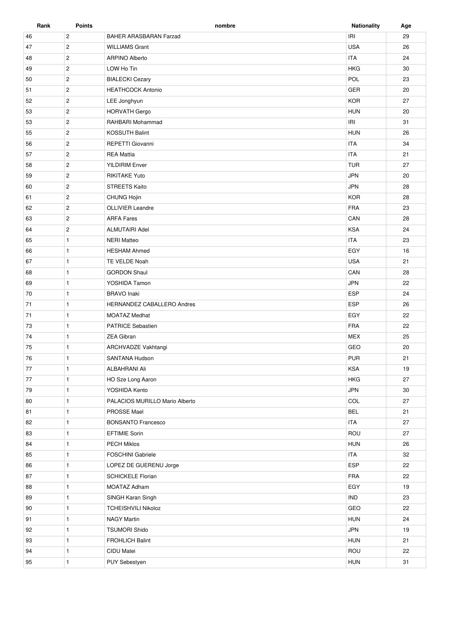| Rank | <b>Points</b>           | nombre                         | <b>Nationality</b> | Age |
|------|-------------------------|--------------------------------|--------------------|-----|
| 46   | $\overline{c}$          | <b>BAHER ARASBARAN Farzad</b>  | IRI                | 29  |
| 47   | $\overline{c}$          | <b>WILLIAMS Grant</b>          | <b>USA</b>         | 26  |
| 48   | $\mathbf{2}^{\prime}$   | <b>ARPINO Alberto</b>          | <b>ITA</b>         | 24  |
| 49   | $\overline{\mathbf{c}}$ | LOW Ho Tin                     | <b>HKG</b>         | 30  |
| 50   | $\mathbf{2}$            | <b>BIALECKI Cezary</b>         | POL                | 23  |
| 51   | $\overline{c}$          | <b>HEATHCOCK Antonio</b>       | <b>GER</b>         | 20  |
| 52   | $\mathbf{2}$            | LEE Jonghyun                   | <b>KOR</b>         | 27  |
| 53   | $\mathbf{2}$            | HORVATH Gergo                  | <b>HUN</b>         | 20  |
| 53   | $\overline{2}$          | RAHBARI Mohammad               | IRI                | 31  |
| 55   | $\mathbf{2}^{\prime}$   | <b>KOSSUTH Balint</b>          | <b>HUN</b>         | 26  |
| 56   | $\overline{c}$          | REPETTI Giovanni               | <b>ITA</b>         | 34  |
| 57   | $\overline{c}$          | <b>REA Mattia</b>              | <b>ITA</b>         | 21  |
| 58   | $\overline{c}$          | <b>YILDIRIM Enver</b>          | <b>TUR</b>         | 27  |
| 59   | $\mathbf{2}^{\prime}$   | <b>RIKITAKE Yuto</b>           | <b>JPN</b>         | 20  |
| 60   | $\overline{c}$          | <b>STREETS Kaito</b>           | <b>JPN</b>         | 28  |
| 61   | $\overline{c}$          | <b>CHUNG Hojin</b>             | <b>KOR</b>         | 28  |
| 62   | $\overline{c}$          | OLLIVIER Leandre               | FRA                | 23  |
| 63   | $\overline{\mathbf{c}}$ | <b>ARFA Fares</b>              | CAN                | 28  |
| 64   | $\overline{c}$          | <b>ALMUTAIRI Adel</b>          | KSA                | 24  |
| 65   | $\mathbf{1}$            | <b>NERI Matteo</b>             | <b>ITA</b>         | 23  |
| 66   | $\mathbf{1}$            | <b>HESHAM Ahmed</b>            | EGY                | 16  |
| 67   | 1                       | TE VELDE Noah                  | <b>USA</b>         | 21  |
| 68   | $\mathbf{1}$            | <b>GORDON Shaul</b>            | CAN                | 28  |
| 69   | $\mathbf{1}$            | YOSHIDA Tamon                  | <b>JPN</b>         | 22  |
| 70   | 1                       | <b>BRAVO</b> Inaki             | <b>ESP</b>         | 24  |
| 71   | $\mathbf{1}$            | HERNANDEZ CABALLERO Andres     | <b>ESP</b>         | 26  |
| 71   | $\mathbf{1}$            | <b>MOATAZ Medhat</b>           | EGY                | 22  |
| 73   | $\mathbf{1}$            | <b>PATRICE Sebastien</b>       | <b>FRA</b>         | 22  |
| 74   | $\mathbf{1}$            | <b>ZEA Gibran</b>              | <b>MEX</b>         | 25  |
| 75   | $\mathbf{1}$            | ARCHVADZE Vakhtangi            | GEO                | 20  |
| 76   | $\mathbf{1}$            | <b>SANTANA Hudson</b>          | <b>PUR</b>         | 21  |
| 77   | $\mathbf{1}$            | ALBAHRANI Ali                  | KSA                | 19  |
| 77   | $\mathbf{1}$            | HO Sze Long Aaron              | <b>HKG</b>         | 27  |
| 79   | $\mathbf{1}$            | YOSHIDA Kento                  | <b>JPN</b>         | 30  |
| 80   | $\mathbf{1}$            | PALACIOS MURILLO Mario Alberto | COL                | 27  |
| 81   | 1                       | PROSSE Mael                    | <b>BEL</b>         | 21  |
| 82   | $\mathbf{1}$            | <b>BONSANTO Francesco</b>      | <b>ITA</b>         | 27  |
| 83   | $\mathbf{1}$            | <b>EFTIMIE Sorin</b>           | ROU                | 27  |
| 84   | $\mathbf{1}$            | <b>PECH Miklos</b>             | <b>HUN</b>         | 26  |
| 85   | $\mathbf{1}$            | <b>FOSCHINI Gabriele</b>       | <b>ITA</b>         | 32  |
| 86   | $\mathbf{1}$            | LOPEZ DE GUERENU Jorge         | <b>ESP</b>         | 22  |
| 87   | $\mathbf{1}$            | <b>SCHICKELE Florian</b>       | FRA                | 22  |
|      |                         |                                |                    |     |
| 88   | $\mathbf{1}$            | MOATAZ Adham                   | EGY                | 19  |
| 89   | 1                       | SINGH Karan Singh              | <b>IND</b>         | 23  |
| 90   | $\mathbf{1}$            | <b>TCHEISHVILI Nikoloz</b>     | GEO                | 22  |
| 91   | $\mathbf{1}$            | <b>NAGY Martin</b>             | <b>HUN</b>         | 24  |
| 92   | 1                       | <b>TSUMORI Shido</b>           | <b>JPN</b>         | 19  |
| 93   | $\mathbf{1}$            | <b>FROHLICH Balint</b>         | <b>HUN</b>         | 21  |
| 94   | $\mathbf{1}$            | CIDU Matei                     | ROU                | 22  |
| 95   | $\mathbf{1}$            | PUY Sebestyen                  | <b>HUN</b>         | 31  |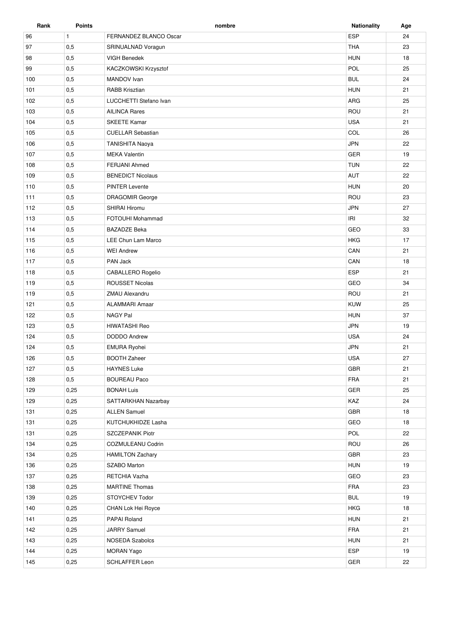| Rank | <b>Points</b> | nombre                   | <b>Nationality</b> | Age |
|------|---------------|--------------------------|--------------------|-----|
| 96   | $\mathbf{1}$  | FERNANDEZ BLANCO Oscar   | ESP                | 24  |
| 97   | 0,5           | SRINUALNAD Voragun       | <b>THA</b>         | 23  |
| 98   | 0,5           | VIGH Benedek             | <b>HUN</b>         | 18  |
| 99   | 0,5           | KACZKOWSKI Krzysztof     | POL                | 25  |
| 100  | 0,5           | MANDOV Ivan              | <b>BUL</b>         | 24  |
| 101  | 0,5           | <b>RABB Krisztian</b>    | <b>HUN</b>         | 21  |
| 102  | 0,5           | LUCCHETTI Stefano Ivan   | ARG                | 25  |
| 103  | 0,5           | <b>AILINCA Rares</b>     | ROU                | 21  |
| 104  | 0,5           | <b>SKEETE Kamar</b>      | <b>USA</b>         | 21  |
| 105  | 0,5           | <b>CUELLAR Sebastian</b> | COL                | 26  |
| 106  | 0,5           | <b>TANISHITA Naoya</b>   | <b>JPN</b>         | 22  |
| 107  | 0,5           | <b>MEKA Valentin</b>     | <b>GER</b>         | 19  |
| 108  | 0,5           | FERJANI Ahmed            | <b>TUN</b>         | 22  |
| 109  | 0,5           | <b>BENEDICT Nicolaus</b> | AUT                | 22  |
| 110  | 0,5           | <b>PINTER Levente</b>    | <b>HUN</b>         | 20  |
| 111  | 0,5           | <b>DRAGOMIR George</b>   | ROU                | 23  |
| 112  | 0,5           | SHIRAI Hiromu            | <b>JPN</b>         | 27  |
| 113  | 0,5           | FOTOUHI Mohammad         | <b>IRI</b>         | 32  |
| 114  | 0,5           | <b>BAZADZE Beka</b>      | GEO                | 33  |
| 115  | 0,5           | LEE Chun Lam Marco       | <b>HKG</b>         | 17  |
| 116  | 0,5           | <b>WEI Andrew</b>        | CAN                | 21  |
| 117  | 0,5           | PAN Jack                 | CAN                | 18  |
| 118  | 0,5           | CABALLERO Rogelio        | <b>ESP</b>         | 21  |
| 119  | 0,5           | <b>ROUSSET Nicolas</b>   | GEO                | 34  |
| 119  | 0,5           | ZMAU Alexandru           | ROU                | 21  |
| 121  | 0,5           | <b>ALAMMARI Amaar</b>    | <b>KUW</b>         | 25  |
| 122  | 0,5           | <b>NAGY Pal</b>          | <b>HUN</b>         | 37  |
| 123  | 0,5           | <b>HIWATASHI Reo</b>     | <b>JPN</b>         | 19  |
| 124  | 0,5           | <b>DODDO Andrew</b>      | <b>USA</b>         | 24  |
| 124  | 0,5           | <b>EMURA Ryohei</b>      | <b>JPN</b>         | 21  |
| 126  | 0,5           | <b>BOOTH Zaheer</b>      | <b>USA</b>         | 27  |
| 127  | 0,5           | <b>HAYNES Luke</b>       | GBR                | 21  |
| 128  | 0,5           | <b>BOUREAU Paco</b>      | <b>FRA</b>         | 21  |
| 129  | 0,25          | <b>BONAH Luis</b>        | GER                | 25  |
| 129  | 0,25          | SATTARKHAN Nazarbay      | KAZ                | 24  |
| 131  | 0,25          | <b>ALLEN Samuel</b>      | GBR                | 18  |
| 131  | 0,25          | KUTCHUKHIDZE Lasha       | GEO                | 18  |
| 131  | 0,25          | SZCZEPANIK Piotr         | POL                | 22  |
| 134  | 0,25          | COZMULEANU Codrin        | ROU                | 26  |
| 134  | 0,25          | <b>HAMILTON Zachary</b>  | GBR                | 23  |
| 136  | 0,25          | SZABO Marton             | <b>HUN</b>         | 19  |
| 137  | 0,25          | RETCHIA Vazha            | GEO                | 23  |
| 138  | 0,25          | <b>MARTINE Thomas</b>    | <b>FRA</b>         | 23  |
| 139  | 0,25          | STOYCHEV Todor           | <b>BUL</b>         | 19  |
| 140  | 0,25          | CHAN Lok Hei Royce       | <b>HKG</b>         | 18  |
| 141  | 0,25          | PAPAI Roland             | <b>HUN</b>         | 21  |
| 142  | 0,25          | <b>JARRY Samuel</b>      | <b>FRA</b>         | 21  |
| 143  | 0,25          | <b>NOSEDA Szabolcs</b>   | <b>HUN</b>         | 21  |
| 144  | 0,25          | <b>MORAN Yago</b>        | <b>ESP</b>         | 19  |
| 145  | 0,25          | SCHLAFFER Leon           | GER                | 22  |
|      |               |                          |                    |     |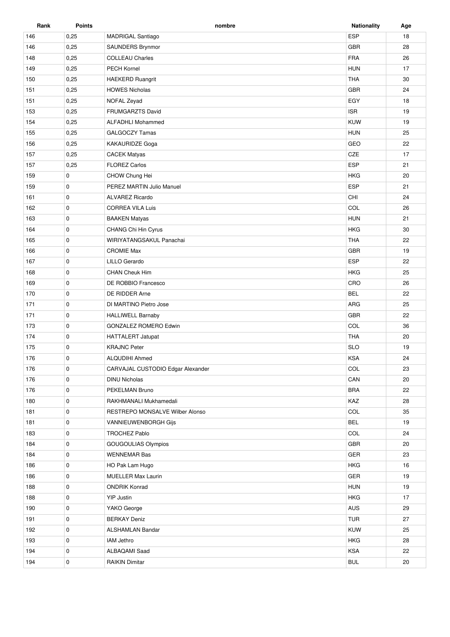| Rank       | <b>Points</b> | nombre                            | <b>Nationality</b> | Age      |
|------------|---------------|-----------------------------------|--------------------|----------|
| 146        | 0,25          | <b>MADRIGAL Santiago</b>          | ESP                | 18       |
| 146        | 0,25          | SAUNDERS Brynmor                  | GBR                | 28       |
| 148        | 0,25          | <b>COLLEAU Charles</b>            | <b>FRA</b>         | 26       |
| 149        | 0,25          | PECH Kornel                       | <b>HUN</b>         | 17       |
| 150        | 0,25          | <b>HAEKERD Ruangrit</b>           | <b>THA</b>         | 30       |
| 151        | 0,25          | <b>HOWES Nicholas</b>             | <b>GBR</b>         | 24       |
| 151        | 0,25          | NOFAL Zevad                       | EGY                | 18       |
| 153        | 0,25          | <b>FRUMGARZTS David</b>           | <b>ISR</b>         | 19       |
| 154        | 0,25          | <b>ALFADHLI Mohammed</b>          | KUW                | 19       |
| 155        | 0,25          | GALGOCZY Tamas                    | <b>HUN</b>         | 25       |
| 156        | 0,25          | KAKAURIDZE Goga                   | GEO                | 22       |
| 157        | 0,25          | <b>CACEK Matyas</b>               | CZE                | 17       |
| 157        | 0,25          | <b>FLOREZ Carlos</b>              | <b>ESP</b>         | 21       |
| 159        | 0             | CHOW Chung Hei                    | <b>HKG</b>         | 20       |
| 159        | 0             | PEREZ MARTIN Julio Manuel         | ESP                | 21       |
| 161        | 0             | ALVAREZ Ricardo                   | CHI                | 24       |
| 162        | 0             | <b>CORREA VILA Luis</b>           | COL                | 26       |
| 163        | 0             | <b>BAAKEN Matyas</b>              | <b>HUN</b>         | 21       |
| 164        | 0             | CHANG Chi Hin Cyrus               | <b>HKG</b>         | 30       |
| 165        | 0             | WIRIYATANGSAKUL Panachai          | <b>THA</b>         | 22       |
| 166        | 0             | <b>CROMIE Max</b>                 | <b>GBR</b>         | 19       |
| 167        | 0             | LILLO Gerardo                     | <b>ESP</b>         | 22       |
| 168        | 0             | <b>CHAN Cheuk Him</b>             | <b>HKG</b>         | 25       |
| 169        | $\mathbf 0$   | DE ROBBIO Francesco               | CRO                | 26       |
| 170        | 0             | DE RIDDER Arne                    | <b>BEL</b>         | 22       |
| 171        | 0             | DI MARTINO Pietro Jose            | ARG                | 25       |
| 171        | 0             | <b>HALLIWELL Barnaby</b>          | GBR                | 22       |
| 173        | 0             | <b>GONZALEZ ROMERO Edwin</b>      | COL                | 36       |
| 174        | 0             | <b>HATTALERT Jatupat</b>          | <b>THA</b>         | 20       |
| 175        | 0             | <b>KRAJNC Peter</b>               | <b>SLO</b>         | 19       |
| 176        | $\mathbf 0$   | ALQUDIHI Ahmed                    | <b>KSA</b>         | 24       |
| 176        | 0             | CARVAJAL CUSTODIO Edgar Alexander | COL                | 23       |
| 176        | 0             | <b>DINU Nicholas</b>              | CAN                | 20       |
| 176        | 0             | PEKELMAN Bruno                    | <b>BRA</b>         | 22       |
| 180        | $\mathbf 0$   | RAKHMANALI Mukhamedali            | KAZ                | 28       |
| 181        | 0             | RESTREPO MONSALVE Wilber Alonso   | COL                | 35       |
| 181        | 0             | VANNIEUWENBORGH Gijs              | <b>BEL</b>         | 19       |
| 183        | 0             | TROCHEZ Pablo                     | COL                | 24       |
| 184        | 0             | <b>GOUGOULIAS Olympios</b>        | GBR                | 20       |
| 184        | 0             | <b>WENNEMAR Bas</b>               | GER                | 23       |
| 186        | 0             | HO Pak Lam Hugo                   | <b>HKG</b>         | 16       |
| 186        | 0             | <b>MUELLER Max Laurin</b>         | GER                | 19       |
| 188        | 0             | <b>ONDRIK Konrad</b>              | <b>HUN</b>         | 19       |
| 188        | 0             | YIP Justin                        | <b>HKG</b>         | 17       |
| 190        | 0             | YAKO George                       | AUS                | 29       |
| 191        | $\mathbf 0$   | <b>BERKAY Deniz</b>               | TUR                | 27       |
|            |               |                                   | KUW                |          |
| 192<br>193 | 0             | ALSHAMLAN Bandar<br>IAM Jethro    | <b>HKG</b>         | 25<br>28 |
|            | 0             |                                   |                    |          |
| 194        | 0             | ALBAQAMI Saad                     | KSA                | 22       |
| 194        | $\mathbf 0$   | <b>RAIKIN Dimitar</b>             | <b>BUL</b>         | 20       |